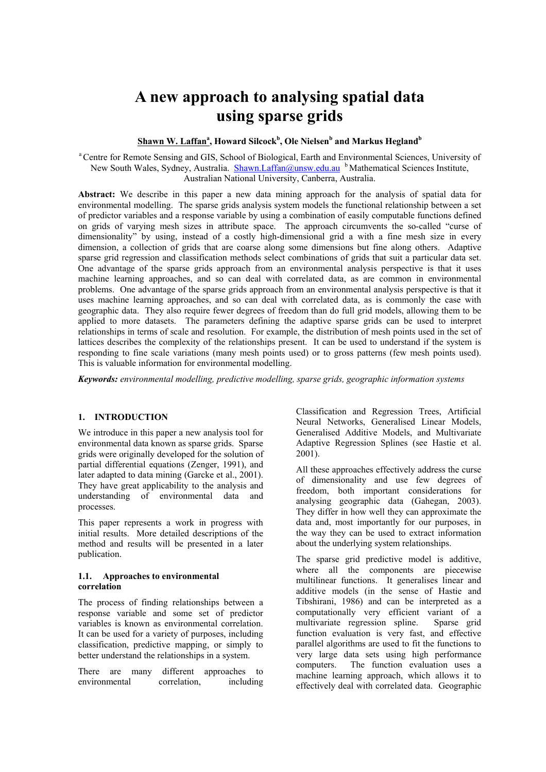# **A new approach to analysing spatial data using sparse grids**

# $\frac{\hbox{\bf Shawn}}{\hbox{\bf W}}$ . Laffan $\hbox{\bf^a$}$ , Howard Silcock<sup>b</sup>, Ole Nielsen<sup>b</sup> and Markus Hegland<sup>b</sup>

<sup>a</sup> Centre for Remote Sensing and GIS, School of Biological, Earth and Environmental Sciences, University of New South Wales, Sydney, Australia. [Shawn.Laffan@unsw.edu.au](mailto:Shawn.Laffan@unsw.edu.au) <sup>b</sup> Mathematical Sciences Institute, Australian National University, Canberra, Australia.

**Abstract:** We describe in this paper a new data mining approach for the analysis of spatial data for environmental modelling. The sparse grids analysis system models the functional relationship between a set of predictor variables and a response variable by using a combination of easily computable functions defined on grids of varying mesh sizes in attribute space. The approach circumvents the so-called "curse of dimensionality" by using, instead of a costly high-dimensional grid a with a fine mesh size in every dimension, a collection of grids that are coarse along some dimensions but fine along others. Adaptive sparse grid regression and classification methods select combinations of grids that suit a particular data set. One advantage of the sparse grids approach from an environmental analysis perspective is that it uses machine learning approaches, and so can deal with correlated data, as are common in environmental problems. One advantage of the sparse grids approach from an environmental analysis perspective is that it uses machine learning approaches, and so can deal with correlated data, as is commonly the case with geographic data. They also require fewer degrees of freedom than do full grid models, allowing them to be applied to more datasets. The parameters defining the adaptive sparse grids can be used to interpret relationships in terms of scale and resolution. For example, the distribution of mesh points used in the set of lattices describes the complexity of the relationships present. It can be used to understand if the system is responding to fine scale variations (many mesh points used) or to gross patterns (few mesh points used). This is valuable information for environmental modelling.

*Keywords: environmental modelling, predictive modelling, sparse grids, geographic information systems* 

## **1. INTRODUCTION**

We introduce in this paper a new analysis tool for environmental data known as sparse grids. Sparse grids were originally developed for the solution of partial differential equations (Zenger, 1991), and later adapted to data mining (Garcke et al., 2001). They have great applicability to the analysis and understanding of environmental data and processes.

This paper represents a work in progress with initial results. More detailed descriptions of the method and results will be presented in a later publication.

### **1.1. Approaches to environmental correlation**

The process of finding relationships between a response variable and some set of predictor variables is known as environmental correlation. It can be used for a variety of purposes, including classification, predictive mapping, or simply to better understand the relationships in a system.

There are many different approaches to environmental correlation, including

Classification and Regression Trees, Artificial Neural Networks, Generalised Linear Models, Generalised Additive Models, and Multivariate Adaptive Regression Splines (see Hastie et al. 2001).

All these approaches effectively address the curse of dimensionality and use few degrees of freedom, both important considerations for analysing geographic data (Gahegan, 2003). They differ in how well they can approximate the data and, most importantly for our purposes, in the way they can be used to extract information about the underlying system relationships.

The sparse grid predictive model is additive, where all the components are piecewise multilinear functions. It generalises linear and additive models (in the sense of Hastie and Tibshirani, 1986) and can be interpreted as a computationally very efficient variant of a multivariate regression spline. Sparse grid function evaluation is very fast, and effective parallel algorithms are used to fit the functions to very large data sets using high performance computers. The function evaluation uses a machine learning approach, which allows it to effectively deal with correlated data. Geographic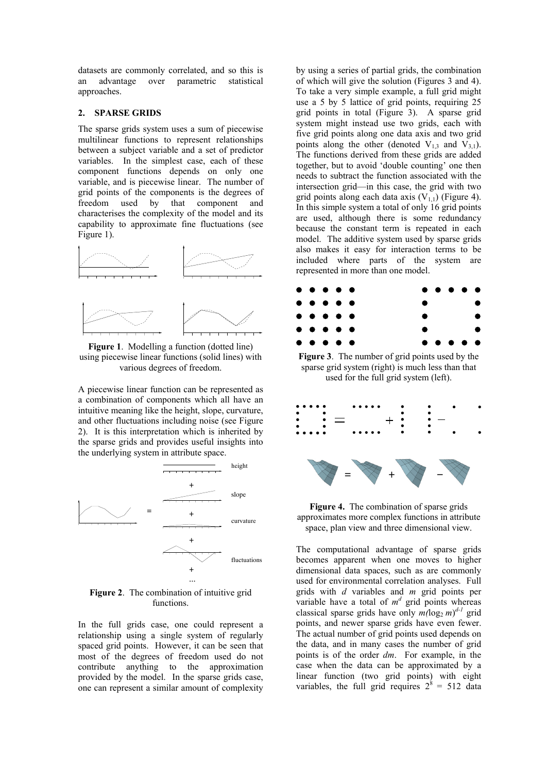datasets are commonly correlated, and so this is an advantage over parametric statistical approaches.

#### **2. SPARSE GRIDS**

The sparse grids system uses a sum of piecewise multilinear functions to represent relationships between a subject variable and a set of predictor variables. In the simplest case, each of these component functions depends on only one variable, and is piecewise linear. The number of grid points of the components is the degrees of freedom used by that component and characterises the complexity of the model and its capability to approximate fine fluctuations (see Figure 1).



**Figure 1**. Modelling a function (dotted line) using piecewise linear functions (solid lines) with various degrees of freedom.

A piecewise linear function can be represented as a combination of components which all have an intuitive meaning like the height, slope, curvature, and other fluctuations including noise (see Figure 2). It is this interpretation which is inherited by the sparse grids and provides useful insights into the underlying system in attribute space.



**Figure 2**. The combination of intuitive grid functions.

In the full grids case, one could represent a relationship using a single system of regularly spaced grid points. However, it can be seen that most of the degrees of freedom used do not contribute anything to the approximation provided by the model. In the sparse grids case, one can represent a similar amount of complexity

by using a series of partial grids, the combination of which will give the solution (Figures 3 and 4). To take a very simple example, a full grid might use a 5 by 5 lattice of grid points, requiring 25 grid points in total (Figure 3). A sparse grid system might instead use two grids, each with five grid points along one data axis and two grid points along the other (denoted  $V_{1,3}$  and  $V_{3,1}$ ). The functions derived from these grids are added together, but to avoid 'double counting' one then needs to subtract the function associated with the intersection grid—in this case, the grid with two grid points along each data axis  $(V_{11})$  (Figure 4). In this simple system a total of only 16 grid points are used, although there is some redundancy because the constant term is repeated in each model. The additive system used by sparse grids also makes it easy for interaction terms to be included where parts of the system are represented in more than one model.



**Figure 3**. The number of grid points used by the sparse grid system (right) is much less than that used for the full grid system (left).



**Figure 4.** The combination of sparse grids approximates more complex functions in attribute space, plan view and three dimensional view.

The computational advantage of sparse grids becomes apparent when one moves to higher dimensional data spaces, such as are commonly used for environmental correlation analyses. Full grids with *d* variables and *m* grid points per variable have a total of  $m<sup>d</sup>$  grid points whereas classical sparse grids have only  $m(\log_2 m)^{d-1}$  grid points, and newer sparse grids have even fewer. The actual number of grid points used depends on the data, and in many cases the number of grid points is of the order *dm*. For example, in the case when the data can be approximated by a linear function (two grid points) with eight variables, the full grid requires  $2^8 = 512$  data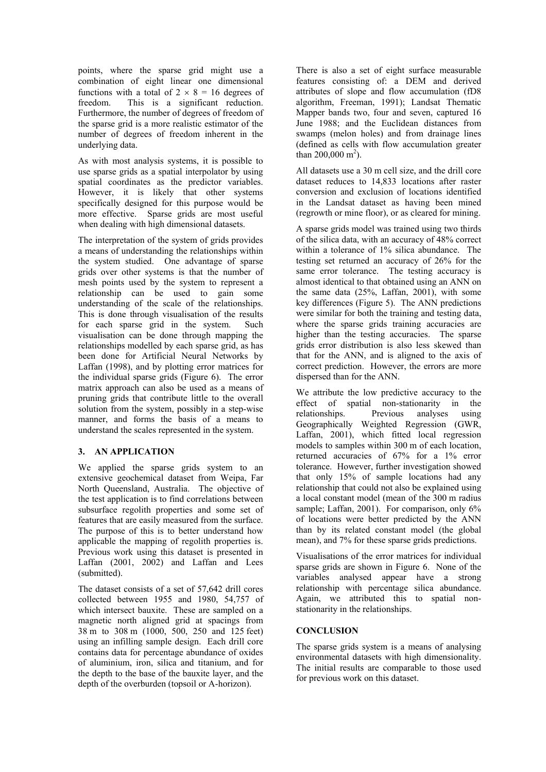points, where the sparse grid might use a combination of eight linear one dimensional functions with a total of  $2 \times 8 = 16$  degrees of freedom. This is a significant reduction. Furthermore, the number of degrees of freedom of the sparse grid is a more realistic estimator of the number of degrees of freedom inherent in the underlying data.

As with most analysis systems, it is possible to use sparse grids as a spatial interpolator by using spatial coordinates as the predictor variables. However, it is likely that other systems specifically designed for this purpose would be more effective. Sparse grids are most useful when dealing with high dimensional datasets.

The interpretation of the system of grids provides a means of understanding the relationships within the system studied. One advantage of sparse grids over other systems is that the number of mesh points used by the system to represent a relationship can be used to gain some understanding of the scale of the relationships. This is done through visualisation of the results for each sparse grid in the system. Such visualisation can be done through mapping the relationships modelled by each sparse grid, as has been done for Artificial Neural Networks by Laffan (1998), and by plotting error matrices for the individual sparse grids (Figure 6). The error matrix approach can also be used as a means of pruning grids that contribute little to the overall solution from the system, possibly in a step-wise manner, and forms the basis of a means to understand the scales represented in the system.

# **3. AN APPLICATION**

We applied the sparse grids system to an extensive geochemical dataset from Weipa, Far North Queensland, Australia. The objective of the test application is to find correlations between subsurface regolith properties and some set of features that are easily measured from the surface. The purpose of this is to better understand how applicable the mapping of regolith properties is. Previous work using this dataset is presented in Laffan (2001, 2002) and Laffan and Lees (submitted).

The dataset consists of a set of 57,642 drill cores collected between 1955 and 1980, 54,757 of which intersect bauxite. These are sampled on a magnetic north aligned grid at spacings from 38 m to 308 m (1000, 500, 250 and 125 feet) using an infilling sample design. Each drill core contains data for percentage abundance of oxides of aluminium, iron, silica and titanium, and for the depth to the base of the bauxite layer, and the depth of the overburden (topsoil or A-horizon).

There is also a set of eight surface measurable features consisting of: a DEM and derived attributes of slope and flow accumulation (fD8 algorithm, Freeman, 1991); Landsat Thematic Mapper bands two, four and seven, captured 16 June 1988; and the Euclidean distances from swamps (melon holes) and from drainage lines (defined as cells with flow accumulation greater than  $200,000 \text{ m}^2$ ).

All datasets use a 30 m cell size, and the drill core dataset reduces to 14,833 locations after raster conversion and exclusion of locations identified in the Landsat dataset as having been mined (regrowth or mine floor), or as cleared for mining.

A sparse grids model was trained using two thirds of the silica data, with an accuracy of 48% correct within a tolerance of 1% silica abundance. The testing set returned an accuracy of 26% for the same error tolerance. The testing accuracy is almost identical to that obtained using an ANN on the same data (25%, Laffan, 2001), with some key differences (Figure 5). The ANN predictions were similar for both the training and testing data, where the sparse grids training accuracies are higher than the testing accuracies. The sparse grids error distribution is also less skewed than that for the ANN, and is aligned to the axis of correct prediction. However, the errors are more dispersed than for the ANN.

We attribute the low predictive accuracy to the effect of spatial non-stationarity in the relationships. Previous analyses using Geographically Weighted Regression (GWR, Laffan, 2001), which fitted local regression models to samples within 300 m of each location, returned accuracies of 67% for a 1% error tolerance. However, further investigation showed that only 15% of sample locations had any relationship that could not also be explained using a local constant model (mean of the 300 m radius sample; Laffan, 2001). For comparison, only 6% of locations were better predicted by the ANN than by its related constant model (the global mean), and 7% for these sparse grids predictions.

Visualisations of the error matrices for individual sparse grids are shown in Figure 6. None of the variables analysed appear have a strong relationship with percentage silica abundance. Again, we attributed this to spatial nonstationarity in the relationships.

## **CONCLUSION**

The sparse grids system is a means of analysing environmental datasets with high dimensionality. The initial results are comparable to those used for previous work on this dataset.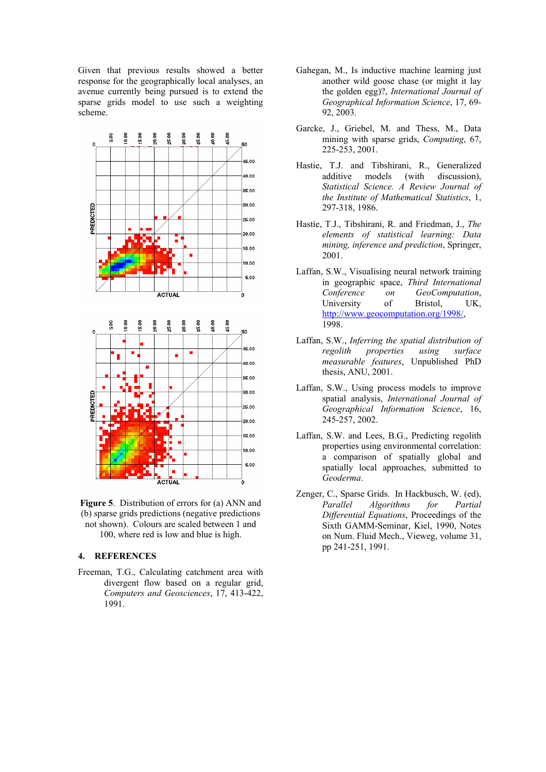Given that previous results showed a better response for the geographically local analyses, an avenue currently being pursued is to extend the sparse grids model to use such a weighting scheme.



**Figure 5**. Distribution of errors for (a) ANN and (b) sparse grids predictions (negative predictions not shown). Colours are scaled between 1 and 100, where red is low and blue is high.

#### **4. REFERENCES**

Freeman, T.G., Calculating catchment area with divergent flow based on a regular grid, *Computers and Geosciences*, 17, 413-422, 1991.

- Gahegan, M., Is inductive machine learning just another wild goose chase (or might it lay the golden egg)?, *International Journal of Geographical Information Science*, 17, 69- 92, 2003.
- Garcke, J., Griebel, M. and Thess, M., Data mining with sparse grids, *Computing*, 67, 225-253, 2001.
- Hastie, T.J. and Tibshirani, R., Generalized additive models (with discussion), *Statistical Science. A Review Journal of the Institute of Mathematical Statistics*, 1, 297-318, 1986.
- Hastie, T.J., Tibshirani, R. and Friedman, J., *The elements of statistical learning: Data mining, inference and prediction*, Springer, 2001.
- Laffan, S.W., Visualising neural network training in geographic space, *Third International Conference on GeoComputation*, University of Bristol, UK, [http://www.geocomputation.org/1998/](http://www.geocomputation.org/1998/index.html), 1998.
- Laffan, S.W., *Inferring the spatial distribution of regolith properties using surface measurable features*, Unpublished PhD thesis, ANU, 2001.
- Laffan, S.W., Using process models to improve spatial analysis, *International Journal of Geographical Information Science*, 16, 245-257, 2002.
- Laffan, S.W. and Lees, B.G., Predicting regolith properties using environmental correlation: a comparison of spatially global and spatially local approaches, submitted to *Geoderma*.
- Zenger, C., Sparse Grids. In Hackbusch, W. (ed), *Parallel Algorithms for Partial Differential Equations*, Proceedings of the Sixth GAMM-Seminar, Kiel, 1990, Notes on Num. Fluid Mech., Vieweg, volume 31, pp 241-251, 1991.